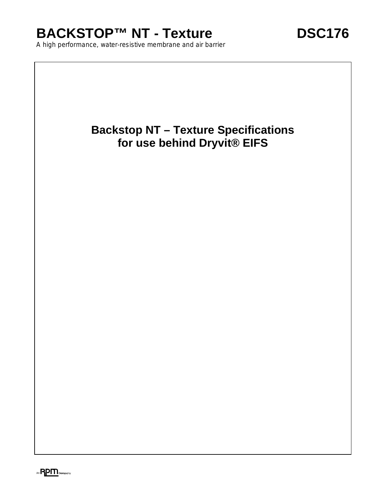# BACKSTOP™ NT - Texture **DSC176**

A high performance, water-resistive membrane and air barrier

# **Backstop NT – Texture Specifications for use behind Dryvit® EIFS**

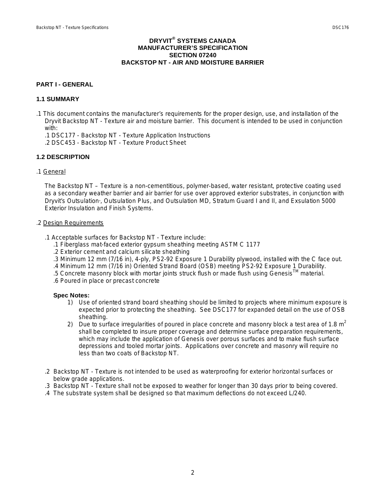#### **DRYVIT® SYSTEMS CANADA MANUFACTURER'S SPECIFICATION SECTION 07240 BACKSTOP NT - AIR AND MOISTURE BARRIER**

#### **PART I - GENERAL**

#### **1.1 SUMMARY**

- .1 This document contains the manufacturer's requirements for the proper design, use, and installation of the Dryvit Backstop NT - Texture air and moisture barrier. This document is intended to be used in conjunction with:
	- .1 DSC177 Backstop NT Texture Application Instructions
	- .2 DSC453 Backstop NT Texture Product Sheet

## **1.2 DESCRIPTION**

#### .1 General

The Backstop NT – Texture is a non-cementitious, polymer-based, water resistant, protective coating used as a secondary weather barrier and air barrier for use over approved exterior substrates, in conjunction with Dryvit's Outsulation<sub>"</sub>, Outsulation Plus, and Outsulation MD, Stratum Guard I and II, and Exsulation 5000 Exterior Insulation and Finish Systems.

#### .2 Design Requirements

- .1 Acceptable surfaces for Backstop NT Texture include:
	- .1 Fiberglass mat-faced exterior gypsum sheathing meeting ASTM C 1177
	- .2 Exterior cement and calcium silicate sheathing
	- .3 Minimum 12 mm (7/16 in), 4-ply, PS2-92 Exposure 1 Durability plywood, installed with the C face out.
	- .4 Minimum 12 mm (7/16 in) Oriented Strand Board (OSB) meeting PS2-92 Exposure 1 Durability.
	- .5 Concrete masonry block with mortar joints struck flush or made flush using GenesisTM material.
	- .6 Poured in place or precast concrete

#### **Spec Notes:**

- 1) Use of oriented strand board sheathing should be limited to projects where minimum exposure is expected prior to protecting the sheathing. See DSC177 for expanded detail on the use of OSB sheathing.
- 2) Due to surface irregularities of poured in place concrete and masonry block a test area of 1.8  $m^2$ shall be completed to insure proper coverage and determine surface preparation requirements, which may include the application of Genesis over porous surfaces and to make flush surface depressions and tooled mortar joints. Applications over concrete and masonry will require no less than two coats of Backstop NT.
- .2 Backstop NT Texture is not intended to be used as waterproofing for exterior horizontal surfaces or below grade applications.
- .3 Backstop NT Texture shall not be exposed to weather for longer than 30 days prior to being covered.
- .4 The substrate system shall be designed so that maximum deflections do not exceed L/240.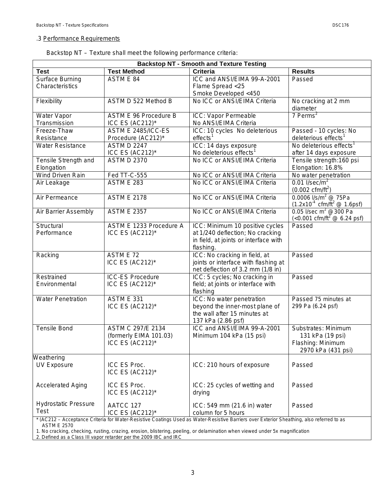## .3 Performance Requirements

| Backstop NT - Texture shall meet the following performance criteria: |
|----------------------------------------------------------------------|
|----------------------------------------------------------------------|

| <b>Backstop NT - Smooth and Texture Testing</b>                                                                                           |                                          |                                                                     |                                                                                    |  |
|-------------------------------------------------------------------------------------------------------------------------------------------|------------------------------------------|---------------------------------------------------------------------|------------------------------------------------------------------------------------|--|
| <b>Test</b>                                                                                                                               | <b>Test Method</b>                       | <b>Criteria</b>                                                     | <b>Results</b>                                                                     |  |
| Surface Burning                                                                                                                           | ASTM E 84                                | ICC and ANSI/EIMA 99-A-2001                                         | Passed                                                                             |  |
| Characteristics                                                                                                                           |                                          | Flame Spread <25                                                    |                                                                                    |  |
|                                                                                                                                           |                                          | Smoke Developed <450                                                |                                                                                    |  |
| Flexibility                                                                                                                               | ASTM D 522 Method B                      | No ICC or ANSI/EIMA Criteria                                        | No cracking at 2 mm                                                                |  |
|                                                                                                                                           |                                          |                                                                     | diameter                                                                           |  |
| Water Vapor                                                                                                                               | ASTM E 96 Procedure B                    | ICC: Vapor Permeable                                                | $7$ Perms <sup>2</sup>                                                             |  |
| Transmission                                                                                                                              | ICC ES (AC212)*                          | No ANSI/EIMA Criteria                                               |                                                                                    |  |
| Freeze-Thaw                                                                                                                               | ASTM E 2485/ICC-ES                       | ICC: 10 cycles No deleterious                                       | Passed - 10 cycles: No                                                             |  |
| Resistance                                                                                                                                | Procedure (AC212)*                       | effects <sup>1</sup>                                                | deleterious effects <sup>1</sup>                                                   |  |
| <b>Water Resistance</b>                                                                                                                   | <b>ASTM D 2247</b>                       | ICC: 14 days exposure                                               | No deleterious effects <sup>1</sup>                                                |  |
|                                                                                                                                           | ICC ES $(AC212)^*$<br><b>ASTM D 2370</b> | No deleterious effects <sup>1</sup><br>No ICC or ANSI/EIMA Criteria | after 14 days exposure                                                             |  |
| Tensile Strength and<br>Elongation                                                                                                        |                                          |                                                                     | Tensile strength: 160 psi<br>Elongation: 16.8%                                     |  |
| <b>Wind Driven Rain</b>                                                                                                                   | Fed TT-C-555                             | No ICC or ANSI/EIMA Criteria                                        | No water penetration                                                               |  |
| Air Leakage                                                                                                                               | <b>ASTM E 283</b>                        | No ICC or ANSI/EIMA Criteria                                        | $0.01$ I/sec/m <sup>2</sup><br>$(0.002 \text{ cfm/ft}^2)$                          |  |
| Air Permeance                                                                                                                             | <b>ASTM E 2178</b>                       | No ICC or ANSI/EIMA Criteria                                        | 0.0006 $I/s/m^2$ @ 75Pa<br>$(1.2x10^4 \text{ cfm/ft}^2 \text{ @ } 1.6 \text{psf})$ |  |
| Air Barrier Assembly                                                                                                                      | <b>ASTM E 2357</b>                       | No ICC or ANSI/EIMA Criteria                                        | 0.05 l/sec m <sup>2</sup> @ 300 Pa<br>$(<0.001$ cfm/ft <sup>2</sup> @ 6.24 psf)    |  |
| Structural                                                                                                                                | ASTM E 1233 Procedure A                  | ICC: Minimum 10 positive cycles                                     | Passed                                                                             |  |
| Performance                                                                                                                               | ICC ES (AC212)*                          | at 1/240 deflection; No cracking                                    |                                                                                    |  |
|                                                                                                                                           |                                          | in field, at joints or interface with                               |                                                                                    |  |
|                                                                                                                                           |                                          | flashing.                                                           |                                                                                    |  |
| Racking                                                                                                                                   | ASTM E 72                                | ICC: No cracking in field, at                                       | Passed                                                                             |  |
|                                                                                                                                           | ICC ES (AC212)*                          | joints or interface with flashing at                                |                                                                                    |  |
|                                                                                                                                           |                                          | net deflection of 3.2 mm (1/8 in)                                   |                                                                                    |  |
| Restrained                                                                                                                                | <b>ICC-ES Procedure</b>                  | ICC: 5 cycles; No cracking in                                       | Passed                                                                             |  |
| Environmental                                                                                                                             | ICC ES $(AC212)^*$                       | field; at joints or interface with<br>flashing                      |                                                                                    |  |
| <b>Water Penetration</b>                                                                                                                  | <b>ASTM E 331</b>                        | ICC: No water penetration                                           | Passed 75 minutes at                                                               |  |
|                                                                                                                                           | ICC ES (AC212)*                          | beyond the inner-most plane of                                      | 299 Pa (6.24 psf)                                                                  |  |
|                                                                                                                                           |                                          | the wall after 15 minutes at                                        |                                                                                    |  |
|                                                                                                                                           |                                          | 137 kPa (2.86 psf)                                                  |                                                                                    |  |
| <b>Tensile Bond</b>                                                                                                                       | ASTM C 297/E 2134                        | ICC and ANSI/EIMA 99-A-2001                                         | Substrates: Minimum                                                                |  |
|                                                                                                                                           | (formerly EIMA 101.03)                   | Minimum 104 kPa (15 psi)                                            | 131 kPa (19 psi)                                                                   |  |
|                                                                                                                                           | ICC ES (AC212)*                          |                                                                     | Flashing: Minimum                                                                  |  |
|                                                                                                                                           |                                          |                                                                     | 2970 kPa (431 psi)                                                                 |  |
| Weathering                                                                                                                                |                                          |                                                                     |                                                                                    |  |
| <b>UV Exposure</b>                                                                                                                        | ICC ES Proc.                             | ICC: 210 hours of exposure                                          | Passed                                                                             |  |
|                                                                                                                                           | ICC ES (AC212)*                          |                                                                     |                                                                                    |  |
| <b>Accelerated Aging</b>                                                                                                                  | ICC ES Proc.                             | ICC: 25 cycles of wetting and                                       | Passed                                                                             |  |
|                                                                                                                                           | ICC ES (AC212)*                          | drying                                                              |                                                                                    |  |
|                                                                                                                                           |                                          |                                                                     |                                                                                    |  |
| <b>Hydrostatic Pressure</b>                                                                                                               | AATCC 127                                | ICC: 549 mm (21.6 in) water                                         | Passed                                                                             |  |
| Test                                                                                                                                      | ICC ES $(AC212)^*$                       | column for 5 hours                                                  |                                                                                    |  |
| * (AC212 - Acceptance Criteria for Water-Resistive Coatings Used as Water-Resistive Barriers over Exterior Sheathing, also referred to as |                                          |                                                                     |                                                                                    |  |

ASTM E 2570

1. No cracking, checking, rusting, crazing, erosion, blistering, peeling, or delamination when viewed under 5x magnification

2. Defined as a Class III vapor retarder per the 2009 IBC and IRC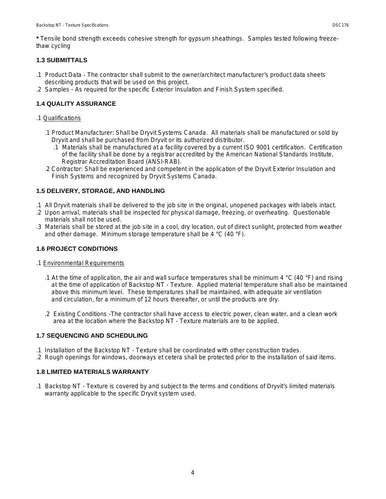**\*** Tensile bond strength exceeds cohesive strength for gypsum sheathings. Samples tested following freezethaw cycling

# **1.3 SUBMITTALS**

- .1 Product Data The contractor shall submit to the owner/architect manufacturer's product data sheets describing products that will be used on this project.
- .2 Samples As required for the specific Exterior Insulation and Finish System specified.

# **1.4 QUALITY ASSURANCE**

#### .1 Qualifications

- .1 Product Manufacturer: Shall be Dryvit Systems Canada. All materials shall be manufactured or sold by Dryvit and shall be purchased from Dryvit or its authorized distributor.
	- .1 Materials shall be manufactured at a facility covered by a current ISO 9001 certification. Certification of the facility shall be done by a registrar accredited by the American National Standards Institute, Registrar Accreditation Board (ANSI-RAB).
- .2 Contractor: Shall be experienced and competent in the application of the Dryvit Exterior Insulation and Finish Systems and recognized by Dryvit Systems Canada.

# **1.5 DELIVERY, STORAGE, AND HANDLING**

- .1 All Dryvit materials shall be delivered to the job site in the original, unopened packages with labels intact.
- .2 Upon arrival, materials shall be inspected for physical damage, freezing, or overheating. Questionable materials shall not be used.
- .3 Materials shall be stored at the job site in a cool, dry location, out of direct sunlight, protected from weather and other damage. Minimum storage temperature shall be 4 °C (40 °F).

## **1.6 PROJECT CONDITIONS**

#### .1 Environmental Requirements

- .1 At the time of application, the air and wall surface temperatures shall be minimum 4  $\degree$ C (40  $\degree$ F) and rising at the time of application of Backstop NT - Texture. Applied material temperature shall also be maintained above this minimum level. These temperatures shall be maintained, with adequate air ventilation and circulation, for a minimum of 12 hours thereafter, or until the products are dry.
- .2 Existing Conditions -The contractor shall have access to electric power, clean water, and a clean work area at the location where the Backstop NT - Texture materials are to be applied.

# **1.7 SEQUENCING AND SCHEDULING**

- .1 Installation of the Backstop NT Texture shall be coordinated with other construction trades.
- .2 Rough openings for windows, doorways et cetera shall be protected prior to the installation of said items.

# **1.8 LIMITED MATERIALS WARRANTY**

.1 Backstop NT - Texture is covered by and subject to the terms and conditions of Dryvit's limited materials warranty applicable to the specific Dryvit system used.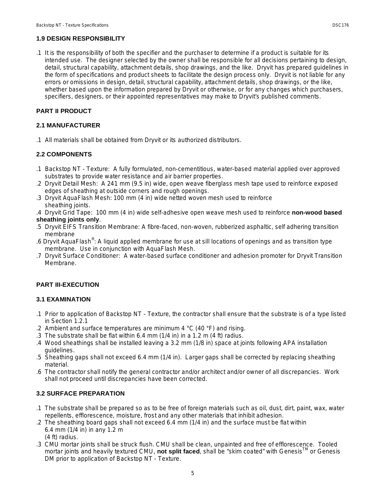# **1.9 DESIGN RESPONSIBILITY**

.1 It is the responsibility of both the specifier and the purchaser to determine if a product is suitable for its intended use. The designer selected by the owner shall be responsible for all decisions pertaining to design, detail, structural capability, attachment details, shop drawings, and the like. Dryvit has prepared guidelines in the form of specifications and product sheets to facilitate the design process only. Dryvit is not liable for any errors or omissions in design, detail, structural capability, attachment details, shop drawings, or the like, whether based upon the information prepared by Dryvit or otherwise, or for any changes which purchasers, specifiers, designers, or their appointed representatives may make to Dryvit's published comments.

# **PART II PRODUCT**

# **2.1 MANUFACTURER**

.1 All materials shall be obtained from Dryvit or its authorized distributors.

# **2.2 COMPONENTS**

- .1 Backstop NT Texture: A fully formulated, non-cementitious, water-based material applied over approved substrates to provide water resistance and air barrier properties.
- .2 Dryvit Detail Mesh: A 241 mm (9.5 in) wide, open weave fiberglass mesh tape used to reinforce exposed edges of sheathing at outside corners and rough openings.
- .3 Dryvit AquaFlash Mesh: 100 mm (4 in) wide netted woven mesh used to reinforce sheathing joints.
- .4 Dryvit Grid Tape: 100 mm (4 in) wide self-adhesive open weave mesh used to reinforce **non-wood based sheathing joints only**.
- .5 Dryvit EIFS Transition Membrane: A fibre-faced, non-woven, rubberized asphaltic, self adhering transition membrane
- .6 Dryvit AquaFlash®: A liquid applied membrane for use at sill locations of openings and as transition type membrane. Use in conjunction with AquaFlash Mesh.
- .7 Dryvit Surface Conditioner: A water-based surface conditioner and adhesion promoter for Dryvit Transition Membrane.

# **PART III-EXECUTION**

# **3.1 EXAMINATION**

- .1 Prior to application of Backstop NT Texture, the contractor shall ensure that the substrate is of a type listed in Section 1.2.1
- .2 Ambient and surface temperatures are minimum 4  $\degree$ C (40  $\degree$ F) and rising.
- .3 The substrate shall be flat within 6.4 mm (1/4 in) in a 1.2 m (4 ft) radius.
- .4 Wood sheathings shall be installed leaving a 3.2 mm (1/8 in) space at joints following APA installation guidelines.
- .5 Sheathing gaps shall not exceed 6.4 mm (1/4 in). Larger gaps shall be corrected by replacing sheathing material.
- .6 The contractor shall notify the general contractor and/or architect and/or owner of all discrepancies. Work shall not proceed until discrepancies have been corrected.

# **3.2 SURFACE PREPARATION**

- .1 The substrate shall be prepared so as to be free of foreign materials such as oil, dust, dirt, paint, wax, water repellents, efflorescence, moisture, frost and any other materials that inhibit adhesion.
- .2 The sheathing board gaps shall not exceed 6.4 mm (1/4 in) and the surface must be flat within 6.4 mm (1/4 in) in any 1.2 m (4 ft) radius.
- .3 CMU mortar joints shall be struck flush. CMU shall be clean, unpainted and free of efflorescence. Tooled mortar joints and heavily textured CMU, **not split faced**, shall be "skim coated" with Genesis<sup>t M</sup> or Genesis DM prior to application of Backstop NT - Texture.